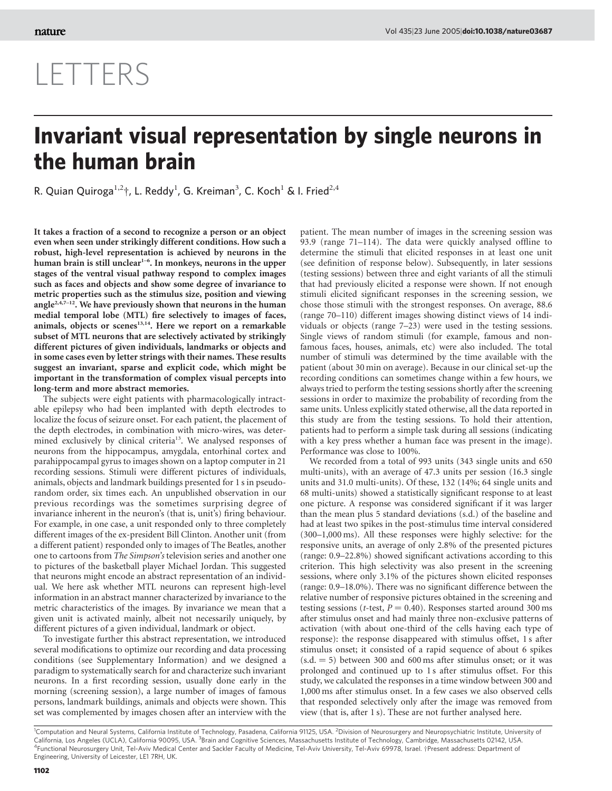## LETTERS

## Invariant visual representation by single neurons in the human brain

R. Quian Quiroga<sup>1,2</sup>†, L. Reddy<sup>1</sup>, G. Kreiman<sup>3</sup>, C. Koch<sup>1</sup> & I. Fried<sup>2,4</sup>

It takes a fraction of a second to recognize a person or an object even when seen under strikingly different conditions. How such a robust, high-level representation is achieved by neurons in the human brain is still unclear<sup>1-6</sup>. In monkeys, neurons in the upper stages of the ventral visual pathway respond to complex images such as faces and objects and show some degree of invariance to metric properties such as the stimulus size, position and viewing angle<sup>2,4,7-12</sup>. We have previously shown that neurons in the human medial temporal lobe (MTL) fire selectively to images of faces, animals, objects or scenes<sup>13,14</sup>. Here we report on a remarkable subset of MTL neurons that are selectively activated by strikingly different pictures of given individuals, landmarks or objects and in some cases even by letter strings with their names. These results suggest an invariant, sparse and explicit code, which might be important in the transformation of complex visual percepts into long-term and more abstract memories.

The subjects were eight patients with pharmacologically intractable epilepsy who had been implanted with depth electrodes to localize the focus of seizure onset. For each patient, the placement of the depth electrodes, in combination with micro-wires, was determined exclusively by clinical criteria<sup>13</sup>. We analysed responses of neurons from the hippocampus, amygdala, entorhinal cortex and parahippocampal gyrus to images shown on a laptop computer in 21 recording sessions. Stimuli were different pictures of individuals, animals, objects and landmark buildings presented for 1 s in pseudorandom order, six times each. An unpublished observation in our previous recordings was the sometimes surprising degree of invariance inherent in the neuron's (that is, unit's) firing behaviour. For example, in one case, a unit responded only to three completely different images of the ex-president Bill Clinton. Another unit (from a different patient) responded only to images of The Beatles, another one to cartoons from The Simpson's television series and another one to pictures of the basketball player Michael Jordan. This suggested that neurons might encode an abstract representation of an individual. We here ask whether MTL neurons can represent high-level information in an abstract manner characterized by invariance to the metric characteristics of the images. By invariance we mean that a given unit is activated mainly, albeit not necessarily uniquely, by different pictures of a given individual, landmark or object.

To investigate further this abstract representation, we introduced several modifications to optimize our recording and data processing conditions (see Supplementary Information) and we designed a paradigm to systematically search for and characterize such invariant neurons. In a first recording session, usually done early in the morning (screening session), a large number of images of famous persons, landmark buildings, animals and objects were shown. This set was complemented by images chosen after an interview with the

patient. The mean number of images in the screening session was 93.9 (range 71–114). The data were quickly analysed offline to determine the stimuli that elicited responses in at least one unit (see definition of response below). Subsequently, in later sessions (testing sessions) between three and eight variants of all the stimuli that had previously elicited a response were shown. If not enough stimuli elicited significant responses in the screening session, we chose those stimuli with the strongest responses. On average, 88.6 (range 70–110) different images showing distinct views of 14 individuals or objects (range 7–23) were used in the testing sessions. Single views of random stimuli (for example, famous and nonfamous faces, houses, animals, etc) were also included. The total number of stimuli was determined by the time available with the patient (about 30 min on average). Because in our clinical set-up the recording conditions can sometimes change within a few hours, we always tried to perform the testing sessions shortly after the screening sessions in order to maximize the probability of recording from the same units. Unless explicitly stated otherwise, all the data reported in this study are from the testing sessions. To hold their attention, patients had to perform a simple task during all sessions (indicating with a key press whether a human face was present in the image). Performance was close to 100%.

We recorded from a total of 993 units (343 single units and 650 multi-units), with an average of 47.3 units per session (16.3 single units and 31.0 multi-units). Of these, 132 (14%; 64 single units and 68 multi-units) showed a statistically significant response to at least one picture. A response was considered significant if it was larger than the mean plus 5 standard deviations (s.d.) of the baseline and had at least two spikes in the post-stimulus time interval considered (300–1,000 ms). All these responses were highly selective: for the responsive units, an average of only 2.8% of the presented pictures (range: 0.9–22.8%) showed significant activations according to this criterion. This high selectivity was also present in the screening sessions, where only 3.1% of the pictures shown elicited responses (range: 0.9–18.0%). There was no significant difference between the relative number of responsive pictures obtained in the screening and testing sessions (*t*-test,  $P = 0.40$ ). Responses started around 300 ms after stimulus onset and had mainly three non-exclusive patterns of activation (with about one-third of the cells having each type of response): the response disappeared with stimulus offset, 1 s after stimulus onset; it consisted of a rapid sequence of about 6 spikes  $(s.d. = 5)$  between 300 and 600 ms after stimulus onset; or it was prolonged and continued up to 1 s after stimulus offset. For this study, we calculated the responses in a time window between 300 and 1,000 ms after stimulus onset. In a few cases we also observed cells that responded selectively only after the image was removed from view (that is, after 1 s). These are not further analysed here.

<sup>&</sup>lt;sup>1</sup>Computation and Neural Systems, California Institute of Technology, Pasadena, California 91125, USA. <sup>2</sup>Division of Neurosurgery and Neuropsychiatric Institute, University of California, Los Angeles (UCLA), California 90095, USA. <sup>3</sup>Brain and Cognitive Sciences, Massachusetts Institute of Technology, Cambridge, Massachusetts 02142, USA.<br><sup>4</sup>Eugebiaral Nousesurgary Unit. Tel. Aviv Medical Center Functional Neurosurgery Unit, Tel-Aviv Medical Center and Sackler Faculty of Medicine, Tel-Aviv University, Tel-Aviv 69978, Israel. †Present address: Department of Engineering, University of Leicester, LE1 7RH, UK.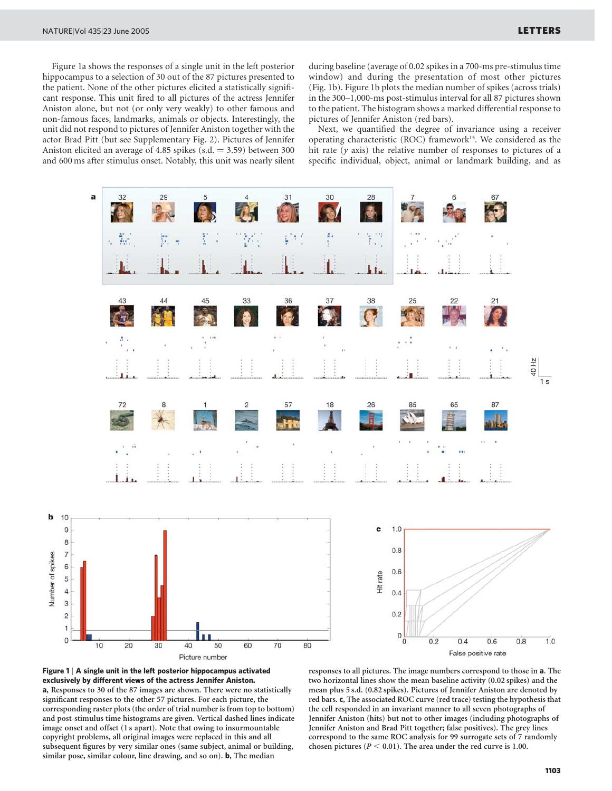b

Number of spikes

Figure 1a shows the responses of a single unit in the left posterior hippocampus to a selection of 30 out of the 87 pictures presented to the patient. None of the other pictures elicited a statistically significant response. This unit fired to all pictures of the actress Jennifer Aniston alone, but not (or only very weakly) to other famous and non-famous faces, landmarks, animals or objects. Interestingly, the unit did not respond to pictures of Jennifer Aniston together with the actor Brad Pitt (but see Supplementary Fig. 2). Pictures of Jennifer Aniston elicited an average of 4.85 spikes  $(s.d. = 3.59)$  between 300 and 600 ms after stimulus onset. Notably, this unit was nearly silent during baseline (average of 0.02 spikes in a 700-ms pre-stimulus time window) and during the presentation of most other pictures (Fig. 1b). Figure 1b plots the median number of spikes (across trials) in the 300–1,000-ms post-stimulus interval for all 87 pictures shown to the patient. The histogram shows a marked differential response to pictures of Jennifer Aniston (red bars).

Next, we quantified the degree of invariance using a receiver operating characteristic (ROC) framework<sup>15</sup>. We considered as the hit rate  $(y \text{ axis})$  the relative number of responses to pictures of a specific individual, object, animal or landmark building, and as





responses to all pictures. The image numbers correspond to those in a. The two horizontal lines show the mean baseline activity (0.02 spikes) and the mean plus 5 s.d. (0.82 spikes). Pictures of Jennifer Aniston are denoted by red bars. c, The associated ROC curve (red trace) testing the hypothesis that the cell responded in an invariant manner to all seven photographs of Jennifer Aniston (hits) but not to other images (including photographs of Jennifer Aniston and Brad Pitt together; false positives). The grey lines correspond to the same ROC analysis for 99 surrogate sets of 7 randomly chosen pictures ( $P < 0.01$ ). The area under the red curve is 1.00.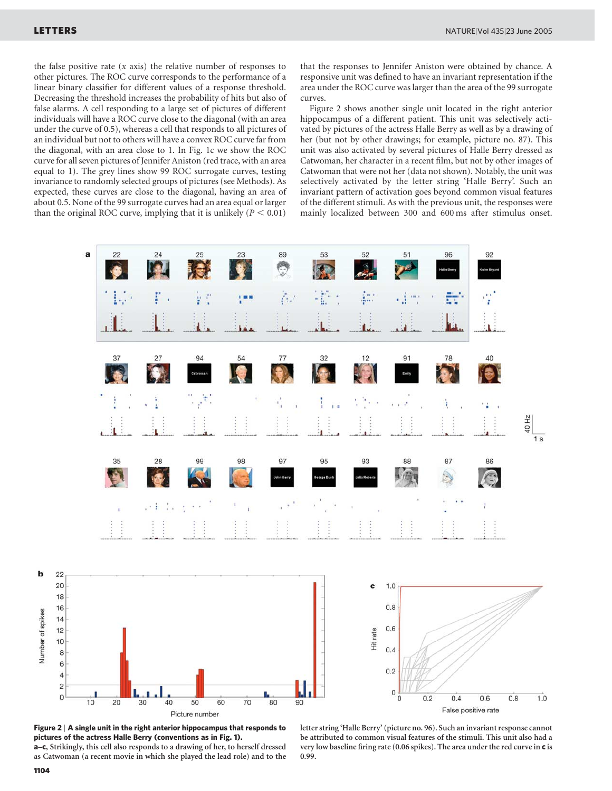the false positive rate  $(x \text{ axis})$  the relative number of responses to other pictures. The ROC curve corresponds to the performance of a linear binary classifier for different values of a response threshold. Decreasing the threshold increases the probability of hits but also of false alarms. A cell responding to a large set of pictures of different individuals will have a ROC curve close to the diagonal (with an area under the curve of 0.5), whereas a cell that responds to all pictures of an individual but not to others will have a convex ROC curve far from the diagonal, with an area close to 1. In Fig. 1c we show the ROC curve for all seven pictures of Jennifer Aniston (red trace, with an area equal to 1). The grey lines show 99 ROC surrogate curves, testing invariance to randomly selected groups of pictures (see Methods). As expected, these curves are close to the diagonal, having an area of about 0.5. None of the 99 surrogate curves had an area equal or larger than the original ROC curve, implying that it is unlikely ( $P < 0.01$ )

that the responses to Jennifer Aniston were obtained by chance. A responsive unit was defined to have an invariant representation if the area under the ROC curve was larger than the area of the 99 surrogate curves.

Figure 2 shows another single unit located in the right anterior hippocampus of a different patient. This unit was selectively activated by pictures of the actress Halle Berry as well as by a drawing of her (but not by other drawings; for example, picture no. 87). This unit was also activated by several pictures of Halle Berry dressed as Catwoman, her character in a recent film, but not by other images of Catwoman that were not her (data not shown). Notably, the unit was selectively activated by the letter string 'Halle Berry'. Such an invariant pattern of activation goes beyond common visual features of the different stimuli. As with the previous unit, the responses were mainly localized between 300 and 600 ms after stimulus onset.





Figure 2 | A single unit in the right anterior hippocampus that responds to pictures of the actress Halle Berry (conventions as in Fig. 1). a–c, Strikingly, this cell also responds to a drawing of her, to herself dressed as Catwoman (a recent movie in which she played the lead role) and to the

letter string 'Halle Berry' (picture no. 96). Such an invariant response cannot be attributed to common visual features of the stimuli. This unit also had a very low baseline firing rate (0.06 spikes). The area under the red curve in  $\mathsf{c}$  is 0.99.

b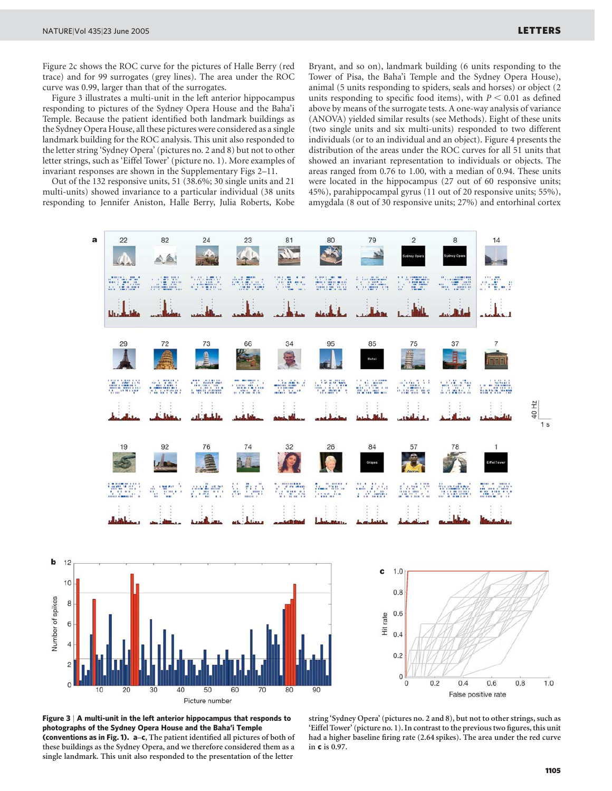Figure 2c shows the ROC curve for the pictures of Halle Berry (red trace) and for 99 surrogates (grey lines). The area under the ROC curve was 0.99, larger than that of the surrogates.

Figure 3 illustrates a multi-unit in the left anterior hippocampus responding to pictures of the Sydney Opera House and the Baha'i Temple. Because the patient identified both landmark buildings as the Sydney Opera House, all these pictures were considered as a single landmark building for the ROC analysis. This unit also responded to the letter string 'Sydney Opera' (pictures no. 2 and 8) but not to other letter strings, such as 'Eiffel Tower' (picture no. 1). More examples of invariant responses are shown in the Supplementary Figs 2–11.

Out of the 132 responsive units, 51 (38.6%; 30 single units and 21 multi-units) showed invariance to a particular individual (38 units responding to Jennifer Aniston, Halle Berry, Julia Roberts, Kobe Bryant, and so on), landmark building (6 units responding to the Tower of Pisa, the Baha'i Temple and the Sydney Opera House), animal (5 units responding to spiders, seals and horses) or object (2 units responding to specific food items), with  $P < 0.01$  as defined above by means of the surrogate tests. A one-way analysis of variance (ANOVA) yielded similar results (see Methods). Eight of these units (two single units and six multi-units) responded to two different individuals (or to an individual and an object). Figure 4 presents the distribution of the areas under the ROC curves for all 51 units that showed an invariant representation to individuals or objects. The areas ranged from 0.76 to 1.00, with a median of 0.94. These units were located in the hippocampus (27 out of 60 responsive units; 45%), parahippocampal gyrus (11 out of 20 responsive units; 55%), amygdala (8 out of 30 responsive units; 27%) and entorhinal cortex







Figure 3 | A multi-unit in the left anterior hippocampus that responds to photographs of the Sydney Opera House and the Baha'i Temple (conventions as in Fig. 1). a–c, The patient identified all pictures of both of these buildings as the Sydney Opera, and we therefore considered them as a single landmark. This unit also responded to the presentation of the letter

string 'Sydney Opera' (pictures no. 2 and 8), but not to other strings, such as 'Eiffel Tower' (picture no. 1). In contrast to the previous two figures, this unit had a higher baseline firing rate (2.64 spikes). The area under the red curve in c is 0.97.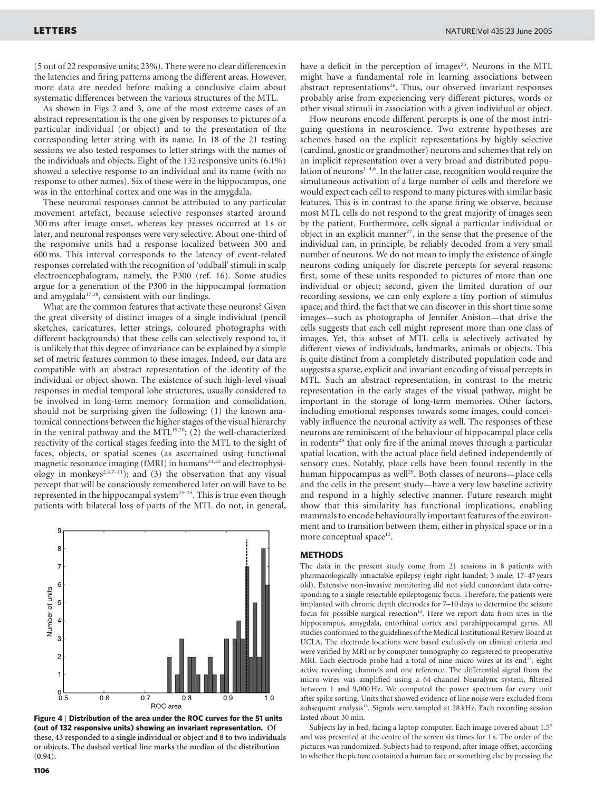(5 out of 22 responsive units; 23%). There were no clear differences in the latencies and firing patterns among the different areas. However, more data are needed before making a conclusive claim about systematic differences between the various structures of the MTL.

As shown in Figs 2 and 3, one of the most extreme cases of an abstract representation is the one given by responses to pictures of a particular individual (or object) and to the presentation of the corresponding letter string with its name. In 18 of the 21 testing sessions we also tested responses to letter strings with the names of the individuals and objects. Eight of the 132 responsive units (6.1%) showed a selective response to an individual and its name (with no response to other names). Six of these were in the hippocampus, one was in the entorhinal cortex and one was in the amygdala.

These neuronal responses cannot be attributed to any particular movement artefact, because selective responses started around 300 ms after image onset, whereas key presses occurred at 1 s or later, and neuronal responses were very selective. About one-third of the responsive units had a response localized between 300 and 600 ms. This interval corresponds to the latency of event-related responses correlated with the recognition of 'oddball' stimuli in scalp electroencephalogram, namely, the P300 (ref. 16). Some studies argue for a generation of the P300 in the hippocampal formation and amygdala<sup>17,18</sup>, consistent with our findings.

What are the common features that activate these neurons? Given the great diversity of distinct images of a single individual (pencil sketches, caricatures, letter strings, coloured photographs with different backgrounds) that these cells can selectively respond to, it is unlikely that this degree of invariance can be explained by a simple set of metric features common to these images. Indeed, our data are compatible with an abstract representation of the identity of the individual or object shown. The existence of such high-level visual responses in medial temporal lobe structures, usually considered to be involved in long-term memory formation and consolidation, should not be surprising given the following: (1) the known anatomical connections between the higher stages of the visual hierarchy in the ventral pathway and the MTL<sup>19,20</sup>; (2) the well-characterized reactivity of the cortical stages feeding into the MTL to the sight of faces, objects, or spatial scenes (as ascertained using functional magnetic resonance imaging (fMRI) in humans<sup>21,22</sup> and electrophysiology in monkeys<sup>2,4,7-11</sup>); and (3) the observation that any visual percept that will be consciously remembered later on will have to be represented in the hippocampal system<sup>23–25</sup>. This is true even though patients with bilateral loss of parts of the MTL do not, in general,



Figure 4 | Distribution of the area under the ROC curves for the 51 units (out of 132 responsive units) showing an invariant representation. Of these, 43 responded to a single individual or object and 8 to two individuals or objects. The dashed vertical line marks the median of the distribution (0.94).

have a deficit in the perception of images<sup>25</sup>. Neurons in the MTL might have a fundamental role in learning associations between abstract representations<sup>26</sup>. Thus, our observed invariant responses probably arise from experiencing very different pictures, words or other visual stimuli in association with a given individual or object.

How neurons encode different percepts is one of the most intriguing questions in neuroscience. Two extreme hypotheses are schemes based on the explicit representations by highly selective (cardinal, gnostic or grandmother) neurons and schemes that rely on an implicit representation over a very broad and distributed population of neurons $1-4,6$ . In the latter case, recognition would require the simultaneous activation of a large number of cells and therefore we would expect each cell to respond to many pictures with similar basic features. This is in contrast to the sparse firing we observe, because most MTL cells do not respond to the great majority of images seen by the patient. Furthermore, cells signal a particular individual or object in an explicit manner<sup>27</sup>, in the sense that the presence of the individual can, in principle, be reliably decoded from a very small number of neurons. We do not mean to imply the existence of single neurons coding uniquely for discrete percepts for several reasons: first, some of these units responded to pictures of more than one individual or object; second, given the limited duration of our recording sessions, we can only explore a tiny portion of stimulus space; and third, the fact that we can discover in this short time some images—such as photographs of Jennifer Aniston—that drive the cells suggests that each cell might represent more than one class of images. Yet, this subset of MTL cells is selectively activated by different views of individuals, landmarks, animals or objects. This is quite distinct from a completely distributed population code and suggests a sparse, explicit and invariant encoding of visual percepts in MTL. Such an abstract representation, in contrast to the metric representation in the early stages of the visual pathway, might be important in the storage of long-term memories. Other factors, including emotional responses towards some images, could conceivably influence the neuronal activity as well. The responses of these neurons are reminiscent of the behaviour of hippocampal place cells in rodents<sup>28</sup> that only fire if the animal moves through a particular spatial location, with the actual place field defined independently of sensory cues. Notably, place cells have been found recently in the human hippocampus as well<sup>29</sup>. Both classes of neurons—place cells and the cells in the present study—have a very low baseline activity and respond in a highly selective manner. Future research might show that this similarity has functional implications, enabling mammals to encode behaviourally important features of the environment and to transition between them, either in physical space or in a more conceptual space<sup>13</sup>.

## METHODS

The data in the present study come from 21 sessions in 8 patients with pharmacologically intractable epilepsy (eight right handed; 3 male; 17–47 years old). Extensive non-invasive monitoring did not yield concordant data corresponding to a single resectable epileptogenic focus. Therefore, the patients were implanted with chronic depth electrodes for 7–10 days to determine the seizure focus for possible surgical resection<sup>13</sup>. Here we report data from sites in the hippocampus, amygdala, entorhinal cortex and parahippocampal gyrus. All studies conformed to the guidelines of the Medical Institutional Review Board at UCLA. The electrode locations were based exclusively on clinical criteria and were verified by MRI or by computer tomography co-registered to preoperative MRI. Each electrode probe had a total of nine micro-wires at its end<sup>13</sup>, eight active recording channels and one reference. The differential signal from the micro-wires was amplified using a 64-channel Neuralynx system, filtered between 1 and 9,000 Hz. We computed the power spectrum for every unit after spike sorting. Units that showed evidence of line noise were excluded from subsequent analysis<sup>14</sup>. Signals were sampled at 28 kHz. Each recording session lasted about 30 min.

Subjects lay in bed, facing a laptop computer. Each image covered about 1.5° and was presented at the centre of the screen six times for 1 s. The order of the pictures was randomized. Subjects had to respond, after image offset, according to whether the picture contained a human face or something else by pressing the